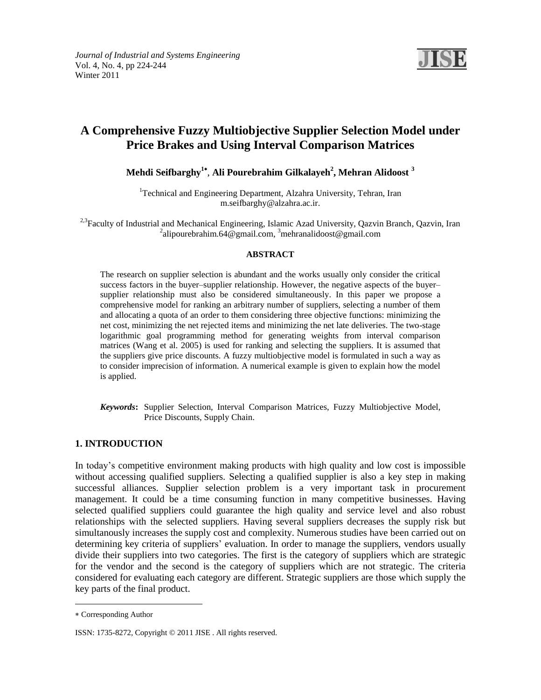

# **A Comprehensive Fuzzy Multiobjective Supplier Selection Model under Price Brakes and Using Interval Comparison Matrices**

**Mehdi Seifbarghy<sup>1</sup>** , **Ali Pourebrahim Gilkalayeh<sup>2</sup> , Mehran Alidoost <sup>3</sup>**

<sup>1</sup>Technical and Engineering Department, Alzahra University, Tehran, Iran [m.seifbarghy@alzahra.ac.ir.](mailto:m.seifbarghy@alzahra.ac.ir)

<sup>2,3</sup>Faculty of Industrial and Mechanical Engineering, Islamic Azad University, Qazvin Branch, Qazvin, Iran <sup>2</sup>[alipourebrahim.64@gmail.com,](mailto:alipourebrahim.64@gmail.com) <sup>3</sup>mehranalidoost@gmail.com

### **ABSTRACT**

The research on supplier selection is abundant and the works usually only consider the critical success factors in the buyer–supplier relationship. However, the negative aspects of the buyer– supplier relationship must also be considered simultaneously. In this paper we propose a comprehensive model for ranking an arbitrary number of suppliers, selecting a number of them and allocating a quota of an order to them considering three objective functions: minimizing the net cost, minimizing the net rejected items and minimizing the net late deliveries. The two-stage logarithmic goal programming method for generating weights from interval comparison matrices (Wang et al. 2005) is used for ranking and selecting the suppliers. It is assumed that the suppliers give price discounts. A fuzzy multiobjective model is formulated in such a way as to consider imprecision of information. A numerical example is given to explain how the model is applied.

*Keywords***:** Supplier Selection, Interval Comparison Matrices, Fuzzy Multiobjective Model, Price Discounts, Supply Chain.

### **1. INTRODUCTION**

In today's competitive environment making products with high quality and low cost is impossible without accessing qualified suppliers. Selecting a qualified supplier is also a key step in making successful alliances. Supplier selection problem is a very important task in procurement management. It could be a time consuming function in many competitive businesses. Having selected qualified suppliers could guarantee the high quality and service level and also robust relationships with the selected suppliers. Having several suppliers decreases the supply risk but simultanously increases the supply cost and complexity. Numerous studies have been carried out on determining key criteria of suppliers' evaluation. In order to manage the suppliers, vendors usually divide their suppliers into two categories. The first is the category of suppliers which are strategic for the vendor and the second is the category of suppliers which are not strategic. The criteria considered for evaluating each category are different. Strategic suppliers are those which supply the key parts of the final product.

 $\overline{a}$ 

Corresponding Author

ISSN: 1735-8272, Copyright © 2011 [JISE](http://www.jise.info/) . All rights reserved.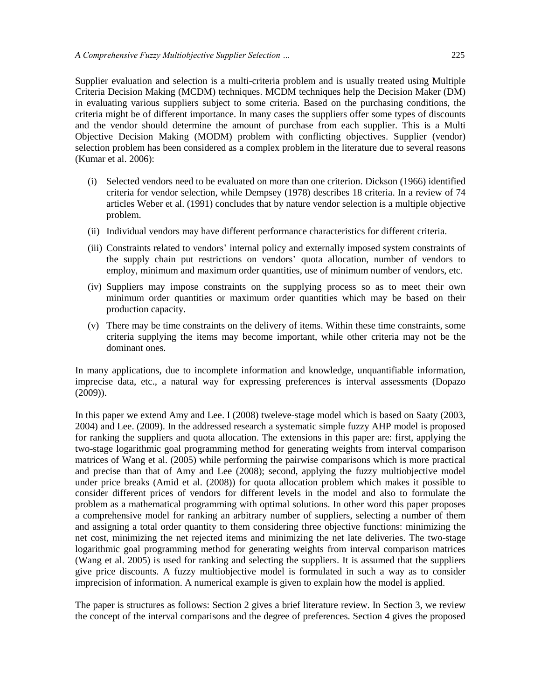Supplier evaluation and selection is a multi-criteria problem and is usually treated using Multiple Criteria Decision Making (MCDM) techniques. MCDM techniques help the Decision Maker (DM) in evaluating various suppliers subject to some criteria. Based on the purchasing conditions, the criteria might be of different importance. In many cases the suppliers offer some types of discounts and the vendor should determine the amount of purchase from each supplier. This is a Multi Objective Decision Making (MODM) problem with conflicting objectives. Supplier (vendor) selection problem has been considered as a complex problem in the literature due to several reasons (Kumar et al. 2006):

- (i) Selected vendors need to be evaluated on more than one criterion. Dickson (1966) identified criteria for vendor selection, while Dempsey (1978) describes 18 criteria. In a review of 74 articles Weber et al. (1991) concludes that by nature vendor selection is a multiple objective problem.
- (ii) Individual vendors may have different performance characteristics for different criteria.
- (iii) Constraints related to vendors' internal policy and externally imposed system constraints of the supply chain put restrictions on vendors' quota allocation, number of vendors to employ, minimum and maximum order quantities, use of minimum number of vendors, etc.
- (iv) Suppliers may impose constraints on the supplying process so as to meet their own minimum order quantities or maximum order quantities which may be based on their production capacity.
- (v) There may be time constraints on the delivery of items. Within these time constraints, some criteria supplying the items may become important, while other criteria may not be the dominant ones.

In many applications, due to incomplete information and knowledge, unquantifiable information, imprecise data, etc., a natural way for expressing preferences is interval assessments (Dopazo (2009)).

In this paper we extend Amy and Lee. I (2008) tweleve-stage model which is based on Saaty (2003, 2004) and Lee. (2009). In the addressed research a systematic simple fuzzy AHP model is proposed for ranking the suppliers and quota allocation. The extensions in this paper are: first, applying the two-stage logarithmic goal programming method for generating weights from interval comparison matrices of Wang et al. (2005) while performing the pairwise comparisons which is more practical and precise than that of Amy and Lee (2008); second, applying the fuzzy multiobjective model under price breaks (Amid et al. (2008)) for quota allocation problem which makes it possible to consider different prices of vendors for different levels in the model and also to formulate the problem as a mathematical programming with optimal solutions. In other word this paper proposes a comprehensive model for ranking an arbitrary number of suppliers, selecting a number of them and assigning a total order quantity to them considering three objective functions: minimizing the net cost, minimizing the net rejected items and minimizing the net late deliveries. The two-stage logarithmic goal programming method for generating weights from interval comparison matrices (Wang et al. 2005) is used for ranking and selecting the suppliers. It is assumed that the suppliers give price discounts. A fuzzy multiobjective model is formulated in such a way as to consider imprecision of information. A numerical example is given to explain how the model is applied.

The paper is structures as follows: Section 2 gives a brief literature review. In Section 3, we review the concept of the interval comparisons and the degree of preferences. Section 4 gives the proposed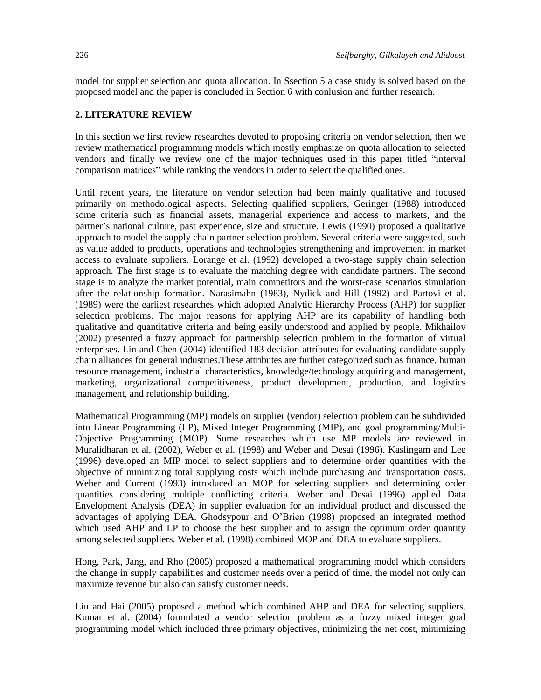model for supplier selection and quota allocation. In Ssection 5 a case study is solved based on the proposed model and the paper is concluded in Section 6 with conlusion and further research.

### **2. LITERATURE REVIEW**

In this section we first review researches devoted to proposing criteria on vendor selection, then we review mathematical programming models which mostly emphasize on quota allocation to selected vendors and finally we review one of the major techniques used in this paper titled "interval comparison matrices" while ranking the vendors in order to select the qualified ones.

Until recent years, the literature on vendor selection had been mainly qualitative and focused primarily on methodological aspects. Selecting qualified suppliers, [Geringer](../../../../../AppData/Local/AppData/Local%20Settings/Temporary%20Internet%20Files/Content.IE5/ATO14HLR/p%20env001.doc) (1988) introduced some criteria such as financial assets, managerial experience and access to markets, and the partner's national culture, past experience, size and structure. Lewis (1990) proposed a qualitative approach to model the supply chain partner selection problem. Several criteria were suggested, such as value added to products, operations and technologies strengthening and improvement in market access to evaluate suppliers. Lorange et al. (1992) developed a two-stage supply chain selection approach. The first stage is to evaluate the matching degree with candidate partners. The second stage is to analyze the market potential, main competitors and the worst-case scenarios simulation after the relationship formation. Narasimahn (1983), Nydick and Hill (1992) and Partovi et al. (1989) were the earliest researches which adopted Analytic Hierarchy Process (AHP) for supplier selection problems. The major reasons for applying AHP are its capability of handling both qualitative and quantitative criteria and being easily understood and applied by people. Mikhailov (2002) presented a fuzzy approach for partnership selection problem in the formation of virtual enterprises. Lin and Chen (2004) identified 183 decision attributes for evaluating candidate supply chain alliances for general industries.These attributes are further categorized such as finance, human resource management, industrial characteristics, knowledge/technology acquiring and management, marketing, organizational competitiveness, product development, production, and logistics management, and relationship building.

Mathematical Programming (MP) models on supplier (vendor) selection problem can be subdivided into Linear Programming (LP), Mixed Integer Programming (MIP), and goal programming/Multi-Objective Programming (MOP). Some researches which use MP models are reviewed in Muralidharan et al. (2002), Weber et al. (1998) and Weber and Desai (1996). Kaslingam and Lee (1996) developed an MIP model to select suppliers and to determine order quantities with the objective of minimizing total supplying costs which include purchasing and transportation costs. Weber and Current (1993) introduced an MOP for selecting suppliers and determining order quantities considering multiple conflicting criteria. Weber and Desai (1996) applied Data Envelopment Analysis (DEA) in supplier evaluation for an individual product and discussed the advantages of applying DEA. Ghodsypour and O'Brien (1998) proposed an integrated method which used AHP and LP to choose the best supplier and to assign the optimum order quantity among selected suppliers. Weber et al. (1998) combined MOP and DEA to evaluate suppliers.

Hong, Park, Jang, and Rho (2005) proposed a mathematical programming model which considers the change in supply capabilities and customer needs over a period of time, the model not only can maximize revenue but also can satisfy customer needs.

Liu and Hai (2005) proposed a method which combined AHP and DEA for selecting suppliers. Kumar et al. (2004) formulated a vendor selection problem as a fuzzy mixed integer goal programming model which included three primary objectives, minimizing the net cost, minimizing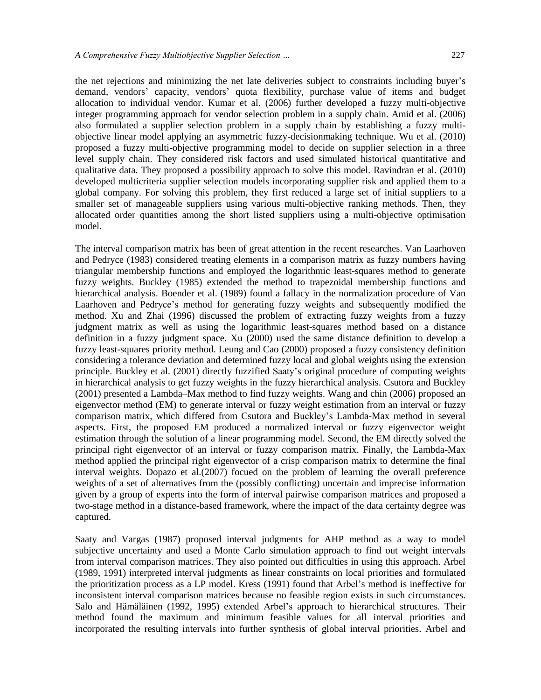the net rejections and minimizing the net late deliveries subject to constraints including buyer's demand, vendors' capacity, vendors' quota flexibility, purchase value of items and budget allocation to individual vendor. Kumar et al. (2006) further developed a fuzzy multi-objective integer programming approach for vendor selection problem in a supply chain. Amid et al. (2006) also formulated a supplier selection problem in a supply chain by establishing a fuzzy multiobjective linear model applying an asymmetric fuzzy-decisionmaking technique. Wu et al. (2010) proposed a fuzzy multi-objective programming model to decide on supplier selection in a three level supply chain. They considered risk factors and used simulated historical quantitative and qualitative data. They proposed a possibility approach to solve this model. Ravindran et al. (2010) developed multicriteria supplier selection models incorporating supplier risk and applied them to a global company. For solving this problem, they first reduced a large set of initial suppliers to a smaller set of manageable suppliers using various multi-objective ranking methods. Then, they allocated order quantities among the short listed suppliers using a multi-objective optimisation model.

The interval comparison matrix has been of great attention in the recent researches. Van Laarhoven and Pedryce (1983) considered treating elements in a comparison matrix as fuzzy numbers having triangular membership functions and employed the logarithmic least-squares method to generate fuzzy weights. Buckley (1985) extended the method to trapezoidal membership functions and hierarchical analysis. Boender et al. (1989) found a fallacy in the normalization procedure of Van Laarhoven and Pedryce's method for generating fuzzy weights and subsequently modified the method. Xu and Zhai (1996) discussed the problem of extracting fuzzy weights from a fuzzy judgment matrix as well as using the logarithmic least-squares method based on a distance definition in a fuzzy judgment space. Xu (2000) used the same distance definition to develop a fuzzy least-squares priority method. Leung and Cao (2000) proposed a fuzzy consistency definition considering a tolerance deviation and determined fuzzy local and global weights using the extension principle. Buckley et al. (2001) directly fuzzified Saaty's original procedure of computing weights in hierarchical analysis to get fuzzy weights in the fuzzy hierarchical analysis. Csutora and Buckley (2001) presented a Lambda–Max method to find fuzzy weights. Wang and chin (2006) proposed an eigenvector method (EM) to generate interval or fuzzy weight estimation from an interval or fuzzy comparison matrix, which differed from Csutora and Buckley's Lambda-Max method in several aspects. First, the proposed EM produced a normalized interval or fuzzy eigenvector weight estimation through the solution of a linear programming model. Second, the EM directly solved the principal right eigenvector of an interval or fuzzy comparison matrix. Finally, the Lambda-Max method applied the principal right eigenvector of a crisp comparison matrix to determine the final interval weights. Dopazo et al.(2007) focued on the problem of learning the overall preference weights of a set of alternatives from the (possibly conflicting) uncertain and imprecise information given by a group of experts into the form of interval pairwise comparison matrices and proposed a two-stage method in a distance-based framework, where the impact of the data certainty degree was captured.

Saaty and Vargas (1987) proposed interval judgments for AHP method as a way to model subjective uncertainty and used a Monte Carlo simulation approach to find out weight intervals from interval comparison matrices. They also pointed out difficulties in using this approach. Arbel (1989, 1991) interpreted interval judgments as linear constraints on local priorities and formulated the prioritization process as a LP model. Kress (1991) found that Arbel's method is ineffective for inconsistent interval comparison matrices because no feasible region exists in such circumstances. Salo and Hämäläinen (1992, 1995) extended Arbel's approach to hierarchical structures. Their method found the maximum and minimum feasible values for all interval priorities and incorporated the resulting intervals into further synthesis of global interval priorities. Arbel and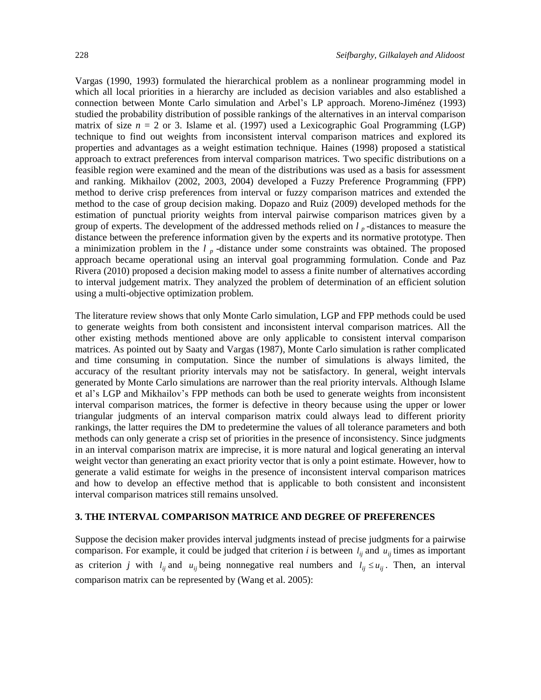Vargas (1990, 1993) formulated the hierarchical problem as a nonlinear programming model in which all local priorities in a hierarchy are included as decision variables and also established a connection between Monte Carlo simulation and Arbel's LP approach. Moreno-Jiménez (1993) studied the probability distribution of possible rankings of the alternatives in an interval comparison matrix of size  $n = 2$  or 3. Islame et al. (1997) used a Lexicographic Goal Programming (LGP) technique to find out weights from inconsistent interval comparison matrices and explored its properties and advantages as a weight estimation technique. Haines (1998) proposed a statistical approach to extract preferences from interval comparison matrices. Two specific distributions on a feasible region were examined and the mean of the distributions was used as a basis for assessment and ranking. Mikhailov (2002, 2003, 2004) developed a Fuzzy Preference Programming (FPP) method to derive crisp preferences from interval or fuzzy comparison matrices and extended the method to the case of group decision making. Dopazo and Ruiz (2009) developed methods for the estimation of punctual priority weights from interval pairwise comparison matrices given by a group of experts. The development of the addressed methods relied on *l <sup>p</sup>* -distances to measure the distance between the preference information given by the experts and its normative prototype. Then a minimization problem in the *l <sup>p</sup>* -distance under some constraints was obtained. The proposed

approach became operational using an interval goal programming formulation. Conde and Paz Rivera (2010) proposed a decision making model to assess a finite number of alternatives according to interval judgement matrix. They analyzed the problem of determination of an efficient solution using a multi-objective optimization problem.

The literature review shows that only Monte Carlo simulation, LGP and FPP methods could be used to generate weights from both consistent and inconsistent interval comparison matrices. All the other existing methods mentioned above are only applicable to consistent interval comparison matrices. As pointed out by Saaty and Vargas (1987), Monte Carlo simulation is rather complicated and time consuming in computation. Since the number of simulations is always limited, the accuracy of the resultant priority intervals may not be satisfactory. In general, weight intervals generated by Monte Carlo simulations are narrower than the real priority intervals. Although Islame et al's LGP and Mikhailov's FPP methods can both be used to generate weights from inconsistent interval comparison matrices, the former is defective in theory because using the upper or lower triangular judgments of an interval comparison matrix could always lead to different priority rankings, the latter requires the DM to predetermine the values of all tolerance parameters and both methods can only generate a crisp set of priorities in the presence of inconsistency. Since judgments in an interval comparison matrix are imprecise, it is more natural and logical generating an interval weight vector than generating an exact priority vector that is only a point estimate. However, how to generate a valid estimate for weighs in the presence of inconsistent interval comparison matrices and how to develop an effective method that is applicable to both consistent and inconsistent interval comparison matrices still remains unsolved.

### **3. THE INTERVAL COMPARISON MATRICE AND DEGREE OF PREFERENCES**

Suppose the decision maker provides interval judgments instead of precise judgments for a pairwise comparison. For example, it could be judged that criterion *i* is between  $l_{ij}$  and  $u_{ij}$  times as important as criterion *j* with  $l_{ij}$  and  $u_{ij}$  being nonnegative real numbers and  $l_{ij} \le u_{ij}$ . Then, an interval comparison matrix can be represented by (Wang et al. 2005):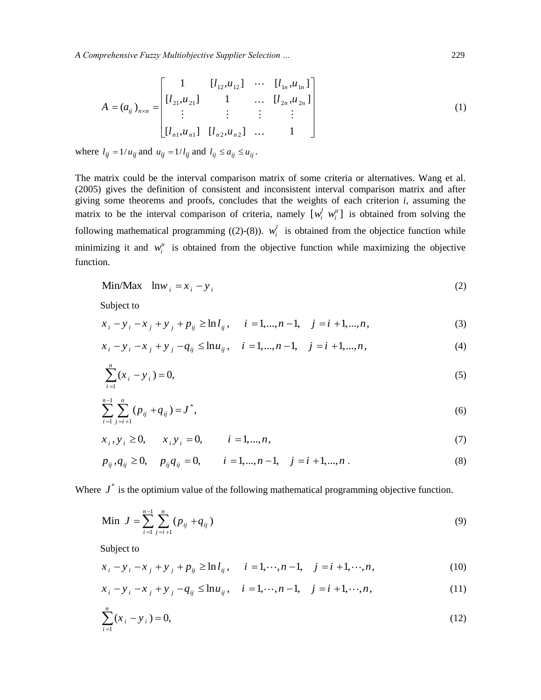*A Comprehensive Fuzzy Multiobjective Supplier Selection …* 229

$$
A = (a_{ij})_{n \times n} = \begin{bmatrix} 1 & [l_{12}, u_{12}] & \cdots & [l_{1n}, u_{1n}] \\ [l_{21}, u_{21}] & 1 & \cdots & [l_{2n}, u_{2n}] \\ \vdots & \vdots & \vdots & \vdots \\ [l_{n1}, u_{n1}] & [l_{n2}, u_{n2}] & \cdots & 1 \end{bmatrix}
$$
 (1)

where  $l_{ij} = 1/u_{ij}$  and  $u_{ij} = 1/l_{ij}$  and  $l_{ij} \le a_{ij} \le u_{ij}$ .

The matrix could be the interval comparison matrix of some criteria or alternatives. Wang et al. (2005) gives the definition of consistent and inconsistent interval comparison matrix and after giving some theorems and proofs, concludes that the weights of each criterion *i*, assuming the matrix to be the interval comparison of criteria, namely  $[w_i^l \ w_i^u]$  is obtained from solving the following mathematical programming ((2)-(8)).  $w_i^l$  is obtained from the objectice function while minimizing it and  $w_i^u$  is obtained from the objective function while maximizing the objective function.

$$
\text{Min}/\text{Max} \quad \text{ln}w_i = x_i - y_i \tag{2}
$$

Subject to

Subject to  
\n
$$
x_i - y_i - x_j + y_j + p_{ij} \ge \ln l_{ij}, \quad i = 1, ..., n-1, \quad j = i+1, ..., n,
$$
\n(3)

$$
x_{i} - y_{i} - x_{j} + y_{j} + p_{ij} \ge \ln l_{ij}, \quad i = 1,...,n-1, \quad j = i+1,...,n,
$$
  
\n
$$
x_{i} - y_{i} - x_{j} + y_{j} - q_{ij} \le \ln u_{ij}, \quad i = 1,...,n-1, \quad j = i+1,...,n,
$$
  
\n(4)

$$
\sum_{i=1}^{n} (x_i - y_i) = 0,\tag{5}
$$

$$
\sum_{i=1}^{n-1} \sum_{j=i+1}^{n} (p_{ij} + q_{ij}) = J^*,
$$
\n(6)

$$
i=1 \ j=i+1
$$
  
 $x_i, y_i \ge 0, \qquad x_i y_i = 0, \qquad i=1,...,n,$  (7)

$$
x_i, y_i \ge 0, \t x_i y_i = 0, \t i = 1,...,n,
$$
  
\n
$$
p_{ij}, q_{ij} \ge 0, \t p_{ij} q_{ij} = 0, \t i = 1,...,n-1, \t j = i+1,...,n.
$$
\n(7)

Where  $J^*$  is the optimium value of the following mathematical programming objective function.

Min 
$$
J = \sum_{i=1}^{n-1} \sum_{j=i+1}^{n} (p_{ij} + q_{ij})
$$
 (9)

Subject to

$$
e^{i=1 j=i+1}
$$
  
Subject to  

$$
x_i - y_i - x_j + y_j + p_{ij} \ge \ln l_{ij}, \quad i = 1, \dots, n-1, \quad j = i+1, \dots, n,
$$
 (10)

$$
x_{i} - y_{i} - x_{j} + y_{j} + p_{ij} \ge \ln l_{ij}, \quad i = 1, \dots, n-1, \quad j = i+1, \dots, n,
$$
  
\n
$$
x_{i} - y_{i} - x_{j} + y_{j} - q_{ij} \le \ln u_{ij}, \quad i = 1, \dots, n-1, \quad j = i+1, \dots, n,
$$
  
\n(11)

$$
\sum_{i=1}^{n} (x_i - y_i) = 0,\tag{12}
$$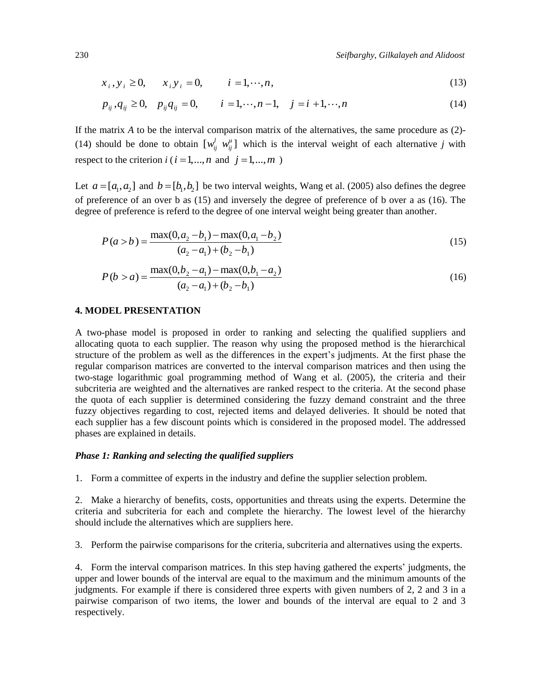230 *Seifbarghy, Gilkalayeh and Alidoost*

$$
x_i, y_i \ge 0, \t x_i y_i = 0, \t i = 1, \dots, n,
$$
\t(13)

$$
x_i, y_i \ge 0, \t x_i y_i = 0, \t i = 1, \dots, n,
$$
  
\n
$$
p_{ij}, q_{ij} \ge 0, \t p_{ij} q_{ij} = 0, \t i = 1, \dots, n-1, \t j = i+1, \dots, n
$$
\n(13)

If the matrix *A* to be the interval comparison matrix of the alternatives, the same procedure as (2)- (14) should be done to obtain  $[w_{ij}^l w_{ij}^u]$  which is the interval weight of each alternative *j* with respect to the criterion  $i$  ( $i = 1,...,n$  and  $j = 1,...,m$ )

Let  $a = [a_1, a_2]$  and  $b = [b_1, b_2]$  be two interval weights, Wang et al. (2005) also defines the degree of preference of an over b as (15) and inversely the degree of preference of b over a as (16). The

degree of preference is referred to the degree of one interval weight being greater than another.  
\n
$$
P(a > b) = \frac{\max(0, a_2 - b_1) - \max(0, a_1 - b_2)}{(a_2 - a_1) + (b_2 - b_1)}
$$
\n(15)

$$
(a_2 - a_1) + (b_2 - b_1)
$$
  

$$
P(b > a) = \frac{\max(0, b_2 - a_1) - \max(0, b_1 - a_2)}{(a_2 - a_1) + (b_2 - b_1)}
$$
 (16)

### **4. MODEL PRESENTATION**

A two-phase model is proposed in order to ranking and selecting the qualified suppliers and allocating quota to each supplier. The reason why using the proposed method is the hierarchical structure of the problem as well as the differences in the expert's judjments. At the first phase the regular comparison matrices are converted to the interval comparison matrices and then using the two-stage logarithmic goal programming method of Wang et al. (2005), the criteria and their subcriteria are weighted and the alternatives are ranked respect to the criteria. At the second phase the quota of each supplier is determined considering the fuzzy demand constraint and the three fuzzy objectives regarding to cost, rejected items and delayed deliveries. It should be noted that each supplier has a few discount points which is considered in the proposed model. The addressed phases are explained in details.

### *Phase 1: Ranking and selecting the qualified suppliers*

1. Form a committee of experts in the industry and define the supplier selection problem.

2. Make a hierarchy of benefits, costs, opportunities and threats using the experts. Determine the criteria and subcriteria for each and complete the hierarchy. The lowest level of the hierarchy should include the alternatives which are suppliers here.

3. Perform the pairwise comparisons for the criteria, subcriteria and alternatives using the experts.

4. Form the interval comparison matrices. In this step having gathered the experts' judgments, the upper and lower bounds of the interval are equal to the maximum and the minimum amounts of the judgments. For example if there is considered three experts with given numbers of 2, 2 and 3 in a pairwise comparison of two items, the lower and bounds of the interval are equal to 2 and 3 respectively.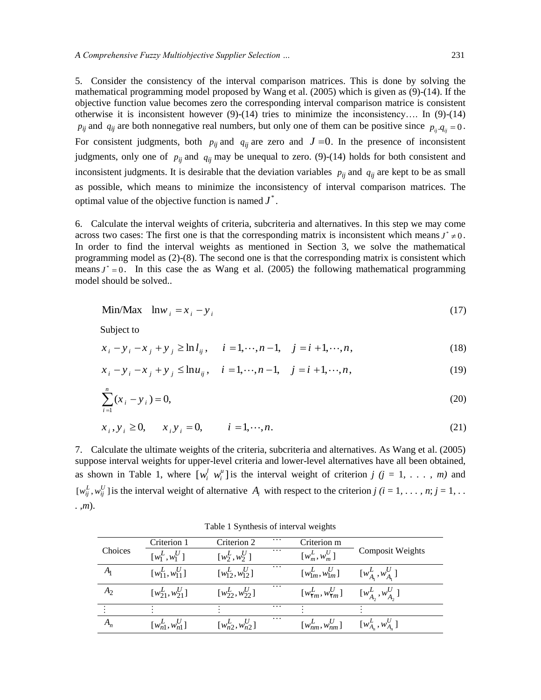5. Consider the consistency of the interval comparison matrices. This is done by solving the mathematical programming model proposed by Wang et al. (2005) which is given as (9)-(14). If the objective function value becomes zero the corresponding interval comparison matrice is consistent otherwise it is inconsistent however (9)-(14) tries to minimize the inconsistency…. In (9)-(14)  $p_{ij}$  and  $q_{ij}$  are both nonnegative real numbers, but only one of them can be positive since  $p_{ij}$ .  $q_{ij} = 0$ . For consistent judgments, both  $p_{ij}$  and  $q_{ij}$  are zero and  $J = 0$ . In the presence of inconsistent judgments, only one of  $p_{ij}$  and  $q_{ij}$  may be unequal to zero. (9)-(14) holds for both consistent and inconsistent judgments. It is desirable that the deviation variables  $p_{ij}$  and  $q_{ij}$  are kept to be as small as possible, which means to minimize the inconsistency of interval comparison matrices. The optimal value of the objective function is named  $J^*$ .

6. Calculate the interval weights of criteria, subcriteria and alternatives. In this step we may come across two cases: The first one is that the corresponding matrix is inconsistent which means  $J^* \neq 0$ . In order to find the interval weights as mentioned in Section 3, we solve the mathematical programming model as (2)-(8). The second one is that the corresponding matrix is consistent which means  $J^* = 0$ . In this case the as Wang et al. (2005) the following mathematical programming model should be solved..

$$
\text{Min/Max} \quad \text{ln}w_i = x_i - y_i \tag{17}
$$

Subject to

Subject to  
\n
$$
x_{i} - y_{i} - x_{j} + y_{j} \ge \ln l_{ij}, \quad i = 1, \dots, n-1, \quad j = i+1, \dots, n,
$$
\n
$$
x_{i} - y_{i} - x_{j} + y_{j} \le \ln u_{ij}, \quad i = 1, \dots, n-1, \quad j = i+1, \dots, n,
$$
\n(19)

$$
x_i - y_i - x_j + y_j \leq \ln u_{ij}, \quad i = 1, \dots, n-1, \quad j = i+1, \dots, n,
$$
\n(19)

$$
\sum_{i=1}^{n} (x_i - y_i) = 0,\tag{20}
$$

$$
\overline{i=1}
$$
  
 $x_i, y_i \ge 0$ ,  $x_i y_i = 0$ ,  $i = 1, \dots, n$ . (21)

7. Calculate the ultimate weights of the criteria, subcriteria and alternatives. As Wang et al. (2005) suppose interval weights for upper-level criteria and lower-level alternatives have all been obtained, as shown in Table 1, where  $[w_i^l w_i^u]$  is the interval weight of criterion  $j$   $(j = 1, \ldots, m)$  and  $[w_{ij}^L, w_{ij}^U]$  is the interval weight of alternative  $A_i$  with respect to the criterion  $j$  ( $i = 1, \ldots, n; j = 1, \ldots$ *. ,m*).

Table 1 Synthesis of interval weights

|                | Criterion 1            | Criterion 2            | $\cdots$ | Criterion m                          |                          |
|----------------|------------------------|------------------------|----------|--------------------------------------|--------------------------|
| Choices        | $[w_1^L, w_1^U]$       | $[w_2^L, w_2^U]$       | $\cdots$ | $\left[w_m^L, w_m^U\right]$          | <b>Composit Weights</b>  |
| A <sub>1</sub> | $[w_{11}^L, w_{11}^U]$ | $[w_{12}^L, w_{12}^U]$ | $\cdots$ | $[w_{1m}^L, w_{1m}^U]$               | $[w_{A}^{L}, w_{A}^{U}]$ |
| A <sub>2</sub> | $[w_{21}^L, w_{21}^U]$ | $[w_{22}^L, w_{22}^U]$ | $\cdots$ | $[w_{\text{Y}m}^L, w_{\text{Y}m}^U]$ | $[w_{A_2}^L, w_{A_2}^U]$ |
|                |                        |                        | $\cdots$ |                                      |                          |
|                | $[w_{n1}^L, w_{n1}^U]$ | $[w_{n2}^L, w_{n2}^U]$ | $\cdots$ | $\left[w_{nm}^L, w_{nm}^U\right]$    | $[w_{A_n}^L, w_{A_n}^U]$ |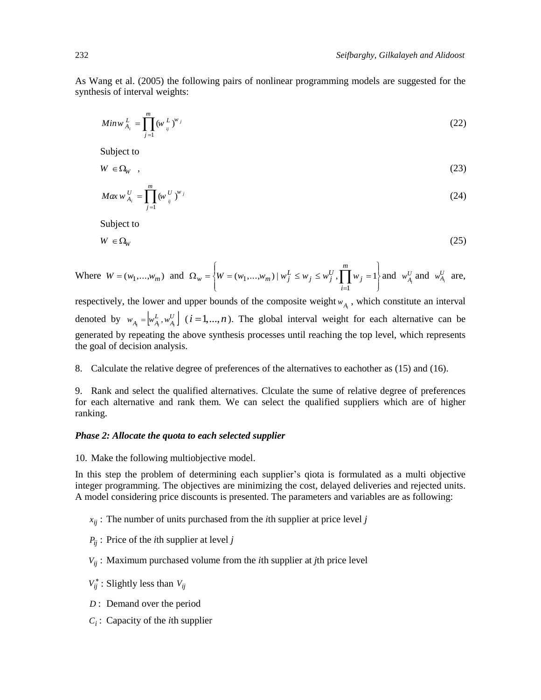As Wang et al. (2005) the following pairs of nonlinear programming models are suggested for the synthesis of interval weights:

$$
Min w_{A_i}^L = \prod_{j=1}^m (w_{ij}^L)^{w_j}
$$
 (22)

Subject to

$$
W \in \Omega_W \quad , \tag{23}
$$

$$
Max \, w_{A_i}^U = \prod_{j=1}^m (w_{ij}^U)^{w_j} \tag{24}
$$

Subject to

$$
W \in \Omega_W \tag{25}
$$

Where  $W = (w_1, \dots, w_m)$  and  $\int$  $\left\{ \right.$  $\mathbf{I}$  $\overline{\mathcal{L}}$  $\Big\}$  $\Omega_w = \left\{ W = (w_1, ..., w_m) \mid w_j^L \leq w_j \leq w_j^U, \prod_{i=1}^m w_j \right\}$ *m i*  $w = \left\{ W = (w_1, ..., w_m) \mid w_j^L \leq w_j \leq w_j^U, \prod w_j^U, \prod w_j^U, \prod w_j^U, \prod w_j^U, \prod w_j^U, \prod w_j^U, \prod w_j^U, \prod w_j^U, \prod w_j^U, \prod w_j^U, \prod w_j^U, \prod w_j^U, \prod w_j^U, \prod w_j^U, \prod w_j^U, \prod w_j^U, \prod w_j^U, \prod w_j^U, \prod w_j^U, \prod w_j^U, \prod w_j^U, \prod w_j^U, \prod w_j^U, \prod w_j^U, \prod w_j^U, \prod w_j^U, \prod$ 1  $(w_1,...,w_m) | w_j^L \leq w_j \leq w_j^U, \prod w_j = 1$  and  $w_{A_i}^U$  and  $w_{A_i}^U$  are,

respectively, the lower and upper bounds of the composite weight  $w_{A_i}$ , which constitute an interval denoted by  $w_{A_i} = \begin{bmatrix} w_{A_i}^L, w_{A_i}^U \end{bmatrix}$  ( $i = 1,...,n$ ). The global interval weight for each alternative can be generated by repeating the above synthesis processes until reaching the top level, which represents the goal of decision analysis.

8. Calculate the relative degree of preferences of the alternatives to eachother as (15) and (16).

9. Rank and select the qualified alternatives. Clculate the sume of relative degree of preferences for each alternative and rank them. We can select the qualified suppliers which are of higher ranking.

### *Phase 2: Allocate the quota to each selected supplier*

10. Make the following multiobjective model.

In this step the problem of determining each supplier's qiota is formulated as a multi objective integer programming. The objectives are minimizing the cost, delayed deliveries and rejected units. A model considering price discounts is presented. The parameters and variables are as following:

- $x_{ij}$ : The number of units purchased from the *i*th supplier at price level *j*
- *Pij* : Price of the *i*th supplier at level *j*
- *Vij* : Maximum purchased volume from the *i*th supplier at *j*th price level
- $V_{ij}^*$ : Slightly less than  $V_{ij}$
- *D* : Demand over the period
- *Ci* : Capacity of the *i*th supplier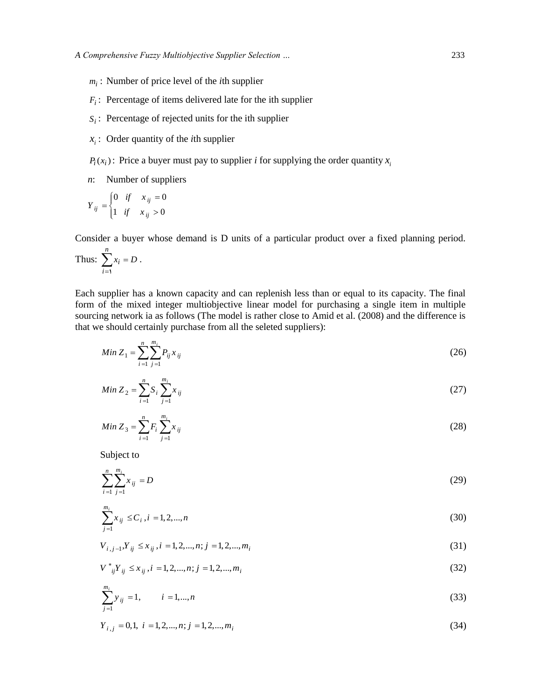- *mi* : Number of price level of the *i*th supplier
- $F_i$ : Percentage of items delivered late for the ith supplier
- $S_i$ : Percentage of rejected units for the ith supplier
- $x_i$ : Order quantity of the *i*th supplier
- $P_i(x_i)$ : Price a buyer must pay to supplier *i* for supplying the order quantity  $x_i$
- *n*: Number of suppliers

$$
Y_{ij} = \begin{cases} 0 & \text{if} & x_{ij} = 0 \\ 1 & \text{if} & x_{ij} > 0 \end{cases}
$$

Consider a buyer whose demand is D units of a particular product over a fixed planning period.

Thus: 
$$
\sum_{i=1}^{n} x_i = D.
$$

Each supplier has a known capacity and can replenish less than or equal to its capacity. The final form of the mixed integer multiobjective linear model for purchasing a single item in multiple sourcing network ia as follows (The model is rather close to Amid et al. (2008) and the difference is that we should certainly purchase from all the seleted suppliers):

$$
Min Z_1 = \sum_{i=1}^{n} \sum_{j=1}^{m_i} P_{ij} x_{ij}
$$
\n(26)

$$
Min Z_2 = \sum_{i=1}^{n} S_i \sum_{j=1}^{m_i} x_{ij}
$$
\n(27)

$$
Min Z_3 = \sum_{i=1}^{n} F_i \sum_{j=1}^{m_i} x_{ij}
$$
\n(28)

Subject to

$$
\sum_{i=1}^{n} \sum_{j=1}^{m_i} x_{ij} = D \tag{29}
$$

$$
\sum_{j=1}^{m_i} x_{ij} \le C_i, i = 1, 2, ..., n
$$
\n(30)

 $V_{i, i-1}, Y_{ii} \leq x_{ii}, i = 1, 2, ..., n; j = 1, 2, ..., m_i$ (31)

$$
V^*_{ij}Y_{ij} \le x_{ij}, i = 1, 2, ..., n; j = 1, 2, ..., m_i
$$
\n(32)

$$
\sum_{j=1}^{m_i} y_{ij} = 1, \qquad i = 1, \dots, n
$$
\n(33)

 $Y_{i,j} = 0,1, i = 1,2,...,n; j = 1,2,...,m$ (34)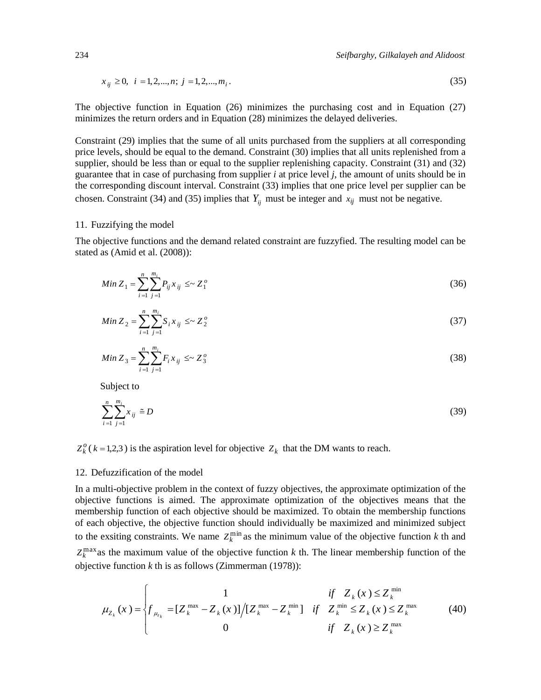$$
x_{ij} \ge 0, \ i = 1, 2, \dots, n; \ j = 1, 2, \dots, m_i. \tag{35}
$$

The objective function in Equation (26) minimizes the purchasing cost and in Equation (27) minimizes the return orders and in Equation (28) minimizes the delayed deliveries.

Constraint (29) implies that the sume of all units purchased from the suppliers at all corresponding price levels, should be equal to the demand. Constraint (30) implies that all units replenished from a supplier, should be less than or equal to the supplier replenishing capacity. Constraint (31) and (32) guarantee that in case of purchasing from supplier *i* at price level *j*, the amount of units should be in the corresponding discount interval. Constraint (33) implies that one price level per supplier can be chosen. Constraint (34) and (35) implies that  $Y_{ij}$  must be integer and  $x_{ij}$  must not be negative.

## 11. Fuzzifying the model

The objective functions and the demand related constraint are fuzzyfied. The resulting model can be stated as (Amid et al. (2008)):

$$
Min Z_1 = \sum_{i=1}^{n} \sum_{j=1}^{m_i} P_{ij} x_{ij} \le Z_1^o
$$
\n(36)

$$
Min Z_2 = \sum_{i=1}^{n} \sum_{j=1}^{m_i} S_i x_{ij} \le Z_2^o \tag{37}
$$

$$
Min Z_3 = \sum_{i=1}^{n} \sum_{j=1}^{m_i} F_i x_{ij} \leq Z_3^o \tag{38}
$$

Subject to

$$
\sum_{i=1}^{n} \sum_{j=1}^{m_i} x_{ij} \tilde{=} D
$$
 (39)

 $Z_k^o$  ( $k = 1,2,3$ ) is the aspiration level for objective  $Z_k$  that the DM wants to reach.

### 12. Defuzzification of the model

In a multi-objective problem in the context of fuzzy objectives, the approximate optimization of the objective functions is aimed. The approximate optimization of the objectives means that the membership function of each objective should be maximized. To obtain the membership functions of each objective, the objective function should individually be maximized and minimized subject to the exsiting constraints. We name  $Z_k^{\min}$  as the minimum value of the objective function *k* th and  $Z_k^{\max}$  as the maximum value of the objective function *k* th. The linear membership function of the objective function  $k$  th is as follows (Zimmerman (1978)):

The linear line of the objective function k in. The integral in the following function of the  
ive function k th is as follows (Zimmerman (1978)):  

$$
\mu_{Z_k}(x) = \begin{cases} 1 & \text{if } Z_k(x) \le Z_k^{\min} \\ f_{\mu_{z_k}} = [Z_k^{\max} - Z_k(x)] / [Z_k^{\max} - Z_k^{\min}] & \text{if } Z_k^{\min} \le Z_k(x) \le Z_k^{\max} \\ 0 & \text{if } Z_k(x) \ge Z_k^{\max} \end{cases}
$$
(40)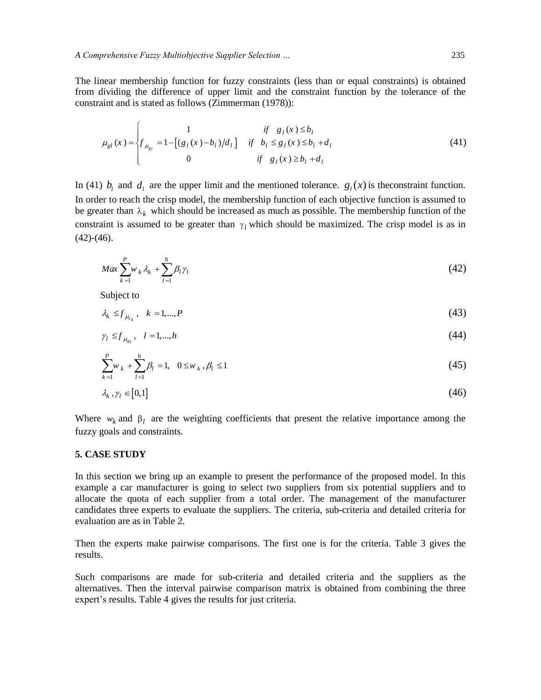The linear membership function for fuzzy constraints (less than or equal constraints) is obtained from dividing the difference of upper limit and the constraint function by the tolerance of the constraint and is stated as follows (Zimmerman (1978)):

$$
\mu_{gl}(x) = \begin{cases}\n1 & \text{if } g_l(x) \le b_l \\
f_{\mu_{gl}} = 1 - [(g_l(x) - b_l)/d_l] & \text{if } b_l \le g_l(x) \le b_l + d_l \\
0 & \text{if } g_l(x) \ge b_l + d_l\n\end{cases}
$$
\n(41)

In (41)  $b_l$  and  $d_l$  are the upper limit and the mentioned tolerance.  $g_l(x)$  is the constraint function. In order to reach the crisp model, the membership function of each objective function is assumed to be greater than  $\lambda_k$  which should be increased as much as possible. The membership function of the constraint is assumed to be greater than  $\gamma_l$  which should be maximized. The crisp model is as in  $(42)-(46)$ .

$$
Max \sum_{k=1}^{P} w_k \lambda_k + \sum_{l=1}^{h} \beta_l \gamma_l \tag{42}
$$

Subject to

$$
\lambda_k \le f_{\mu_{k,k}}, \quad k = 1, \dots, P \tag{43}
$$

$$
\gamma_l \le f_{\mu_{gl}}, \quad l = 1, \dots, h \tag{44}
$$

$$
\sum_{k=1}^{P} w_k + \sum_{l=1}^{h} \beta_l = 1, \quad 0 \le w_k, \beta_l \le 1
$$
\n(45)

$$
\lambda_k, \gamma_l \in [0,1] \tag{46}
$$

Where  $w_k$  and  $\beta_l$  are the weighting coefficients that present the relative importance among the fuzzy goals and constraints.

### **5. CASE STUDY**

In this section we bring up an example to present the performance of the proposed model. In this example a car manufacturer is going to select two suppliers from six potential suppliers and to allocate the quota of each supplier from a total order. The management of the manufacturer candidates three experts to evaluate the suppliers. The criteria, sub-criteria and detailed criteria for evaluation are as in Table 2.

Then the experts make pairwise comparisons. The first one is for the criteria. Table 3 gives the results.

Such comparisons are made for sub-criteria and detailed criteria and the suppliers as the alternatives. Then the interval pairwise comparison matrix is obtained from combining the three expert's results. Table 4 gives the results for just criteria.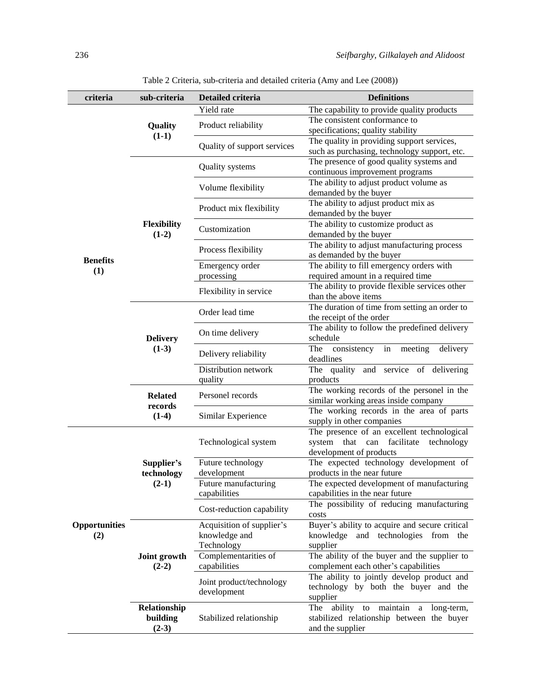| criteria                      | sub-criteria                                                                                                                                                                                                       | Detailed criteria               | <b>Definitions</b>                                                                                             |
|-------------------------------|--------------------------------------------------------------------------------------------------------------------------------------------------------------------------------------------------------------------|---------------------------------|----------------------------------------------------------------------------------------------------------------|
|                               |                                                                                                                                                                                                                    | Yield rate                      | The capability to provide quality products                                                                     |
|                               |                                                                                                                                                                                                                    |                                 | The consistent conformance to                                                                                  |
| <b>Benefits</b><br>(1)<br>(2) |                                                                                                                                                                                                                    | Product reliability             | specifications; quality stability                                                                              |
|                               |                                                                                                                                                                                                                    | Quality of support services     | The quality in providing support services,                                                                     |
|                               |                                                                                                                                                                                                                    |                                 | such as purchasing, technology support, etc.                                                                   |
|                               | Quality<br>$(1-1)$<br><b>Flexibility</b><br>$(1-2)$<br><b>Delivery</b><br>$(1-3)$<br><b>Related</b><br>records<br>$(1-4)$<br>Supplier's<br>technology<br>$(2-1)$<br>$(2-2)$<br>Relationship<br>building<br>$(2-3)$ | Quality systems                 | The presence of good quality systems and                                                                       |
|                               |                                                                                                                                                                                                                    |                                 | continuous improvement programs                                                                                |
|                               | Joint growth                                                                                                                                                                                                       | Volume flexibility              | The ability to adjust product volume as<br>demanded by the buyer                                               |
|                               |                                                                                                                                                                                                                    | Product mix flexibility         | The ability to adjust product mix as<br>demanded by the buyer                                                  |
|                               |                                                                                                                                                                                                                    | Customization                   | The ability to customize product as<br>demanded by the buyer                                                   |
|                               |                                                                                                                                                                                                                    | Process flexibility             | The ability to adjust manufacturing process<br>as demanded by the buyer                                        |
|                               |                                                                                                                                                                                                                    | Emergency order                 | The ability to fill emergency orders with                                                                      |
|                               |                                                                                                                                                                                                                    | processing                      | required amount in a required time                                                                             |
|                               |                                                                                                                                                                                                                    | Flexibility in service          | The ability to provide flexible services other                                                                 |
|                               |                                                                                                                                                                                                                    |                                 | than the above items                                                                                           |
| <b>Opportunities</b>          |                                                                                                                                                                                                                    | Order lead time                 | The duration of time from setting an order to<br>the receipt of the order                                      |
|                               |                                                                                                                                                                                                                    | On time delivery                | The ability to follow the predefined delivery<br>schedule                                                      |
|                               |                                                                                                                                                                                                                    | Delivery reliability            | consistency<br>The<br>in meeting<br>delivery<br>deadlines                                                      |
|                               |                                                                                                                                                                                                                    | Distribution network<br>quality | The quality<br>and<br>service<br>of delivering<br>products                                                     |
|                               |                                                                                                                                                                                                                    | Personel records                | The working records of the personel in the<br>similar working areas inside company                             |
|                               |                                                                                                                                                                                                                    | Similar Experience              | The working records in the area of parts<br>supply in other companies                                          |
|                               |                                                                                                                                                                                                                    | Technological system            | The presence of an excellent technological<br>system that can facilitate technology<br>development of products |
|                               |                                                                                                                                                                                                                    | Future technology               | The expected technology development of                                                                         |
|                               |                                                                                                                                                                                                                    | development                     | products in the near future                                                                                    |
|                               |                                                                                                                                                                                                                    | Future manufacturing            | The expected development of manufacturing                                                                      |
|                               |                                                                                                                                                                                                                    | capabilities                    | capabilities in the near future                                                                                |
|                               |                                                                                                                                                                                                                    | Cost-reduction capability       | The possibility of reducing manufacturing<br>costs                                                             |
|                               |                                                                                                                                                                                                                    | Acquisition of supplier's       | Buyer's ability to acquire and secure critical                                                                 |
|                               |                                                                                                                                                                                                                    | knowledge and                   | knowledge<br>and technologies from the                                                                         |
|                               |                                                                                                                                                                                                                    | Technology                      | supplier                                                                                                       |
|                               |                                                                                                                                                                                                                    | Complementarities of            | The ability of the buyer and the supplier to                                                                   |
|                               |                                                                                                                                                                                                                    | capabilities                    | complement each other's capabilities                                                                           |
|                               |                                                                                                                                                                                                                    | Joint product/technology        | The ability to jointly develop product and                                                                     |
|                               |                                                                                                                                                                                                                    | development                     | technology by both the buyer and the<br>supplier                                                               |
|                               |                                                                                                                                                                                                                    |                                 | ability to maintain<br>long-term,<br>The<br>a                                                                  |
|                               |                                                                                                                                                                                                                    | Stabilized relationship         | stabilized relationship between the buyer                                                                      |
|                               |                                                                                                                                                                                                                    |                                 | and the supplier                                                                                               |

Table 2 Criteria, sub-criteria and detailed criteria (Amy and Lee (2008))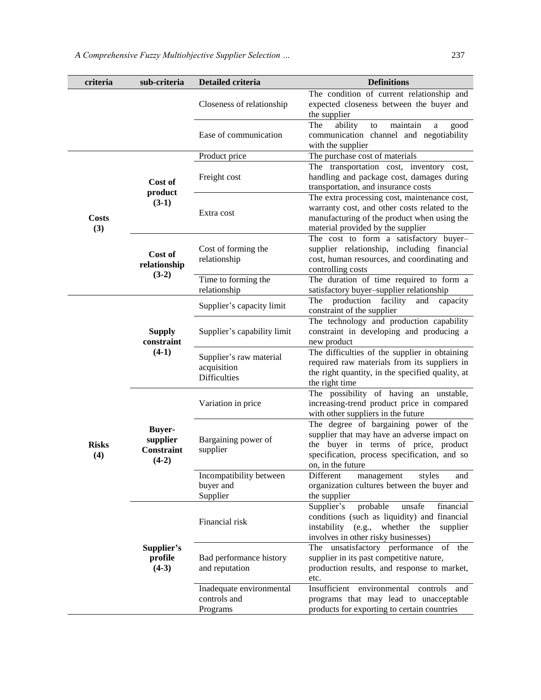| criteria                                                                    | sub-criteria                           | Detailed criteria                                             | <b>Definitions</b>                                                                                                                                                                                |
|-----------------------------------------------------------------------------|----------------------------------------|---------------------------------------------------------------|---------------------------------------------------------------------------------------------------------------------------------------------------------------------------------------------------|
|                                                                             |                                        | Closeness of relationship                                     | The condition of current relationship and<br>expected closeness between the buyer and<br>the supplier                                                                                             |
|                                                                             |                                        | Ease of communication                                         | The<br>ability<br>maintain<br>to<br>good<br>a<br>communication channel and negotiability<br>with the supplier                                                                                     |
|                                                                             |                                        | Product price                                                 | The purchase cost of materials                                                                                                                                                                    |
|                                                                             | Cost of<br>product                     | Freight cost                                                  | The transportation cost, inventory cost,<br>handling and package cost, damages during<br>transportation, and insurance costs                                                                      |
| <b>Costs</b><br>(3)                                                         | $(3-1)$                                | Extra cost                                                    | The extra processing cost, maintenance cost,<br>warranty cost, and other costs related to the<br>manufacturing of the product when using the<br>material provided by the supplier                 |
|                                                                             | Cost of<br>relationship                | Cost of forming the<br>relationship                           | The cost to form a satisfactory buyer-<br>supplier relationship, including financial<br>cost, human resources, and coordinating and<br>controlling costs                                          |
| $(3-2)$<br>Time to forming the<br>relationship<br>Supplier's capacity limit |                                        |                                                               | The duration of time required to form a<br>satisfactory buyer-supplier relationship                                                                                                               |
|                                                                             |                                        |                                                               | The production facility<br>and<br>capacity<br>constraint of the supplier                                                                                                                          |
|                                                                             | <b>Supply</b><br>constraint<br>$(4-1)$ | Supplier's capability limit                                   | The technology and production capability<br>constraint in developing and producing a<br>new product                                                                                               |
|                                                                             |                                        | Supplier's raw material<br>acquisition<br><b>Difficulties</b> | The difficulties of the supplier in obtaining<br>required raw materials from its suppliers in<br>the right quantity, in the specified quality, at<br>the right time                               |
|                                                                             | Variation in price                     |                                                               | The possibility of having an unstable,<br>increasing-trend product price in compared<br>with other suppliers in the future                                                                        |
| <b>Buyer-</b><br>supplier<br><b>Risks</b><br>Constraint<br>(4)<br>$(4-2)$   |                                        | Bargaining power of<br>supplier                               | The degree of bargaining power of the<br>supplier that may have an adverse impact on<br>the buyer in terms of price, product<br>specification, process specification, and so<br>on, in the future |
|                                                                             |                                        | Incompatibility between<br>buyer and<br>Supplier              | Different<br>management<br>styles<br>and<br>organization cultures between the buyer and<br>the supplier                                                                                           |
|                                                                             |                                        | Financial risk                                                | Supplier's<br>probable<br>unsafe<br>financial<br>conditions (such as liquidity) and financial<br>(e.g., whether<br>instability<br>the<br>supplier<br>involves in other risky businesses)          |
|                                                                             | Supplier's<br>profile<br>$(4-3)$       | Bad performance history<br>and reputation                     | The unsatisfactory performance of the<br>supplier in its past competitive nature,<br>production results, and response to market,<br>etc.                                                          |
|                                                                             |                                        | Inadequate environmental<br>controls and<br>Programs          | environmental<br>Insufficient<br>controls<br>and<br>programs that may lead to unacceptable<br>products for exporting to certain countries                                                         |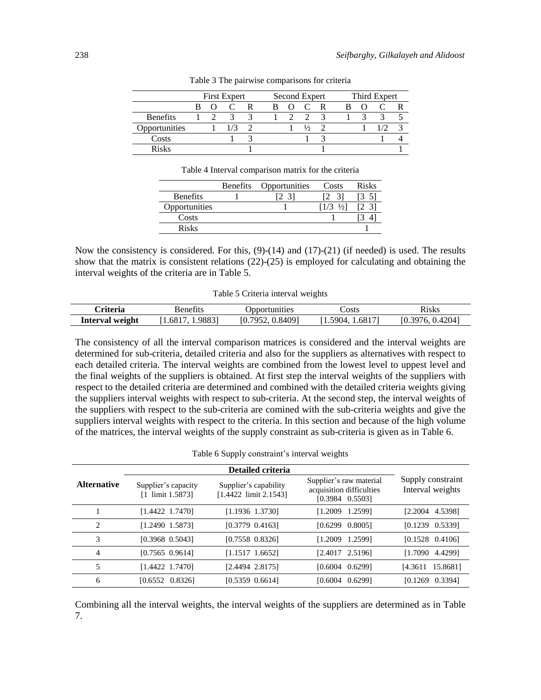|                 | <b>First Expert</b> |  |  | Second Expert |  |  | Third Expert  |   |  |  |  |  |
|-----------------|---------------------|--|--|---------------|--|--|---------------|---|--|--|--|--|
|                 |                     |  |  | B             |  |  |               |   |  |  |  |  |
| <b>Benefits</b> |                     |  |  |               |  |  |               | ≺ |  |  |  |  |
| Opportunities   |                     |  |  |               |  |  | $\frac{1}{2}$ |   |  |  |  |  |
| Costs           |                     |  |  |               |  |  |               |   |  |  |  |  |
| Risks           |                     |  |  |               |  |  |               |   |  |  |  |  |

Table 3 The pairwise comparisons for criteria

Table 4 Interval comparison matrix for the criteria

| <b>Benefits</b> | Costs               | <b>Risks</b> |
|-----------------|---------------------|--------------|
|                 |                     |              |
|                 | $[1/3 \frac{1}{2}]$ | [2 3]        |
|                 |                     |              |
|                 |                     |              |
|                 | Opportunities       |              |

Now the consistency is considered. For this,  $(9)-(14)$  and  $(17)-(21)$  (if needed) is used. The results show that the matrix is consistent relations (22)-(25) is employed for calculating and obtaining the interval weights of the criteria are in Table 5.

#### Table 5 Criteria interval weights

| riteria            | Benefits       | <b>Joportunities</b>              | Costs                | K1SKS                                           |
|--------------------|----------------|-----------------------------------|----------------------|-------------------------------------------------|
| weight<br>Interval | 98831<br>1.681 | 0.84091<br>7952<br><sup>10.</sup> | 5904<br>.6817<br>ن . | 0.4204<br>[0, 0]<br>-20<br>$\overline{6}$<br>v. |

The consistency of all the interval comparison matrices is considered and the interval weights are determined for sub-criteria, detailed criteria and also for the suppliers as alternatives with respect to each detailed criteria. The interval weights are combined from the lowest level to uppest level and the final weights of the suppliers is obtained. At first step the interval weights of the suppliers with respect to the detailed criteria are determined and combined with the detailed criteria weights giving the suppliers interval weights with respect to sub-criteria. At the second step, the interval weights of the suppliers with respect to the sub-criteria are comined with the sub-criteria weights and give the suppliers interval weights with respect to the criteria. In this section and because of the high volume of the matrices, the interval weights of the supply constraint as sub-criteria is given as in Table 6.

Table 6 Supply constraint's interval weights

|                    |                                         | Detailed criteria                                |                                                                                |                                       |
|--------------------|-----------------------------------------|--------------------------------------------------|--------------------------------------------------------------------------------|---------------------------------------|
| <b>Alternative</b> | Supplier's capacity<br>[1 limit 1.5873] | Supplier's capability<br>$[1.4422$ limit 2.1543] | Supplier's raw material<br>acquisition difficulties<br>$[0.3984 \quad 0.5503]$ | Supply constraint<br>Interval weights |
|                    | $[1.4422 \t1.7470]$                     | $[1.1936 \t1.3730]$                              | [1.2009]<br>1.25991                                                            | $[2.2004 \t 4.5398]$                  |
| 2                  | $[1.2490 \t1.5873]$                     | $[0.3779 \ 0.4163]$                              | [0.6299]<br>0.80051                                                            | $[0.1239 \quad 0.5339]$               |
| 3                  | $[0.3968 \ \ 0.5043]$                   | $[0.7558 \ \ 0.8326]$                            | 1.25991<br>[1.2009]                                                            | $[0.1528 \quad 0.4106]$               |
| 4                  | $[0.7565 \ 0.9614]$                     | $[1.1517 \t1.6652]$                              | $[2.4017 \t2.5196]$                                                            | 4.42991<br>[1.7090]                   |
| 5                  | $[1.4422 \t1.7470]$                     | [2.4494 2.8175]                                  | $[0.6004 \quad 0.6299]$                                                        | 15.86811<br>[4.3611]                  |
| 6                  | $[0.6552 \quad 0.8326]$                 | $[0.5359 \ 0.6614]$                              | [0.6004 0.6299]                                                                | 0.33941<br>[0.1269]                   |

Combining all the interval weights, the interval weights of the suppliers are determined as in Table 7.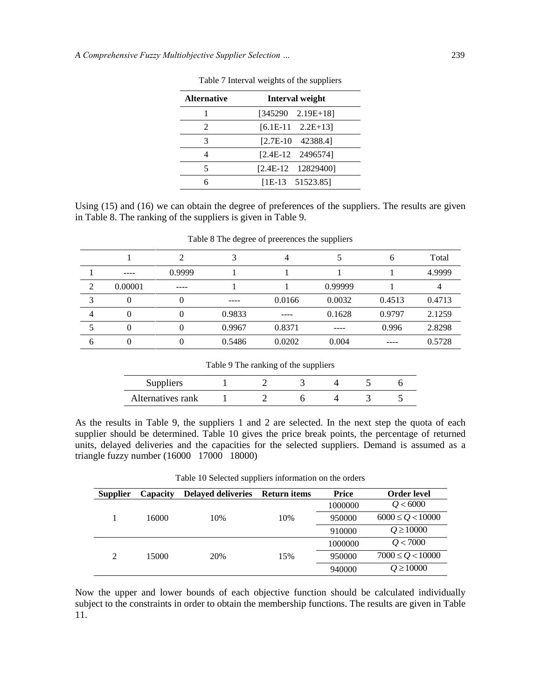| <b>Alternative</b> | <b>Interval weight</b>     |
|--------------------|----------------------------|
|                    | $[345290 \quad 2.19E+18]$  |
| 2                  | $[6.1E-11 \quad 2.2E+13]$  |
| 3                  | $[2.7E-10 \quad 42388.4]$  |
|                    | $[2.4E-12 \quad 2496574]$  |
| 5                  | $[2.4E-12 \quad 12829400]$ |
|                    | $[1E-13 \quad 51523.85]$   |

Table 7 Interval weights of the suppliers

Using (15) and (16) we can obtain the degree of preferences of the suppliers. The results are given in Table 8. The ranking of the suppliers is given in Table 9.

|                |                            |        |        | 4      |         | h      | Total  |
|----------------|----------------------------|--------|--------|--------|---------|--------|--------|
|                | $\qquad \qquad - \qquad -$ | 0.9999 |        |        |         |        | 4.9999 |
| $\overline{2}$ | 0.00001                    | $---$  |        |        | 0.99999 |        |        |
| 3              | O                          |        | ----   | 0.0166 | 0.0032  | 0.4513 | 0.4713 |
| 4              |                            |        | 0.9833 |        | 0.1628  | 0.9797 | 2.1259 |
|                |                            |        | 0.9967 | 0.8371 | ----    | 0.996  | 2.8298 |
| 6              |                            |        | 0.5486 | 0.0202 | 0.004   |        | 0.5728 |

Table 8 The degree of preerences the suppliers

### Table 9 The ranking of the suppliers

| Suppliers         |  |  |  |
|-------------------|--|--|--|
| Alternatives rank |  |  |  |

As the results in Table 9, the suppliers 1 and 2 are selected. In the next step the quota of each supplier should be determined. Table 10 gives the price break points, the percentage of returned units, delayed deliveries and the capacities for the selected suppliers. Demand is assumed as a triangle fuzzy number (16000 17000 18000)

| Table 10 Selected suppliers information on the orders |  |  |  |
|-------------------------------------------------------|--|--|--|
|-------------------------------------------------------|--|--|--|

| <b>Supplier</b> | Capacity | <b>Delayed deliveries</b> | <b>Return items</b> | Price   | <b>Order level</b>    |
|-----------------|----------|---------------------------|---------------------|---------|-----------------------|
|                 |          |                           |                     | 1000000 | Q < 6000              |
|                 | 16000    | 10%                       | 10%                 | 950000  | $6000 \leq Q < 10000$ |
|                 |          |                           |                     | 910000  | $Q \ge 10000$         |
|                 |          |                           |                     | 1000000 | Q < 7000              |
| 2               | 15000    | 20%                       | 15%                 | 950000  | $7000 \le Q < 10000$  |
|                 |          |                           |                     | 940000  | $Q \ge 10000$         |

Now the upper and lower bounds of each objective function should be calculated individually subject to the constraints in order to obtain the membership functions. The results are given in Table 11.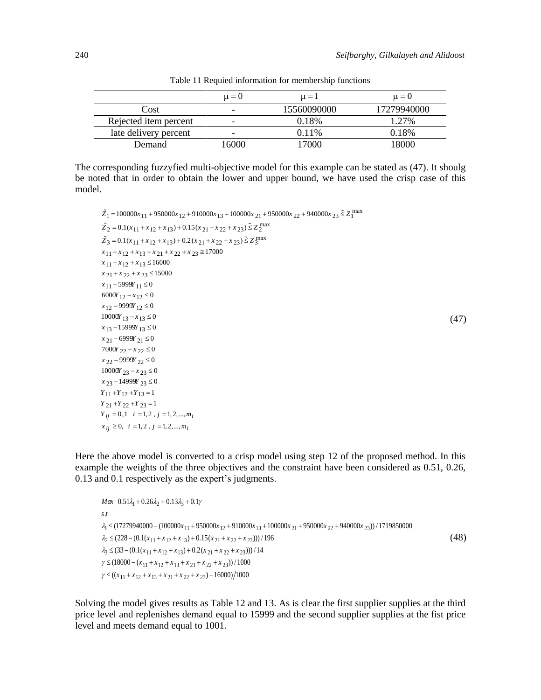(47)

|                       | $\mu = 0$                | $\mu = 1$   | $\mu = 0$   |
|-----------------------|--------------------------|-------------|-------------|
| Cost                  | $\overline{\phantom{0}}$ | 15560090000 | 17279940000 |
| Rejected item percent | $\overline{\phantom{a}}$ | 0.18%       | 1.27%       |
| late delivery percent | -                        | $0.11\%$    | 0.18%       |
| Demand                | 6000                     | 7000        | 800C        |

Table 11 Requied information for membership functions

The corresponding fuzzyfied multi-objective model for this example can be stated as (47). It shoulg be noted that in order to obtain the lower and upper bound, we have used the crisp case of this model.

```
max
       _1 = 100000x_{11} + 950000x_{12} + 910000x_{13} + 100000x_{21} + 950000x_{22} + 940000x_{23} \leq Z_1max
        _1 = 100000x<sub>11</sub> + 950000x<sub>12</sub> + 910000x<sub>13</sub> + 100000x<sub>21</sub><br>
_2 = 0.1(x<sub>11</sub> + x<sub>12</sub> + x<sub>13</sub>) + 0.15(x<sub>21</sub> + x<sub>22</sub> + x<sub>23</sub>) \leq Z<sub>2</sub><sup>5</sup>
                                                                                                                                                                               max
        2 = 0.1(x_{11} + x_{12} + x_{13}) + 0.15(x_{21} + x_{22} + x_{23}) \le Z<br>
3 = 0.1(x_{11} + x_{12} + x_{13}) + 0.2(x_{21} + x_{22} + x_{23}) \le Z<br>
\frac{1}{3}\begin{aligned} \tilde{X}_3 &= 0.1(x_{11} + x_{12} + x_{13}) + 0.2(x_{11} + x_{12} + x_{13} + x_{21} + x_{22} + x_{23}) \\ &= 0.1(x_{11} + x_{12} + x_{13} + x_{21} + x_{22} + x_{23}) \end{aligned}11 + x_{12} + x_{13} + x_{21} + x_{22} + x_{23} \approx 17000<br>
11 + x_{12} + x_{13} \le 16000100000x_{11} + 950000x_{12} + 910000x_{13} + 10000<br>0.1(x_{11} + x_{12} + x_{13}) + 0.15(x_{21} + x_{22} + x_{23})\tilde{Z}_2 = 0.1(x_{11} + x_{12} + x_{13}) + 0.15(x_{21} + x_{22} + x_{23}) \le<br>
\tilde{Z}_3 = 0.1(x_{11} + x_{12} + x_{13}) + 0.2(x_{21} + x_{22} + x_{23}) \le Z\tilde{Z}_1 = 100000x_{11} + 950000x_{12} + 910000x_{13} + 100000x_{21} + 950000x_{22} + 940000x_{23} \leq Z\tilde{Z}_1 = 100000x_{11} + 950000x_{12} + 910000x_{13} + 100000x_{2}<br>
\tilde{Z}_2 = 0.1(x_{11} + x_{12} + x_{13}) + 0.15(x_{21} + x_{22} + x_{23}) \leq Z
  \overline{z}_3 = 0.1(x_{11} + x_{12} + x_{13}) + 0.2<br>
x_{11} + x_{12} + x_{13} + x_{21} + x_{22} + x_{33}x_3 = 0.1(x_{11} + x_{12} + x_{13})<br>
x_{11} + x_{12} + x_{13} + x_{21} + x_{2}<br>
x_{11} + x_{12} + x_{13} \le 16000= 100000x_{11} + 950000x_{12} + 910000x_{13} + 100000x_{21} + 950000x_{22} + 940000x_{23} \leq Z_1^{\text{max}}= 100000x<sub>11</sub> + 950000x<sub>12</sub> + 910000x<sub>13</sub> + 100000x<sub>21</sub> + 950<br>= 0.1(x<sub>11</sub> + x<sub>12</sub> + x<sub>13</sub>) + 0.15(x<sub>21</sub> + x<sub>22</sub> + x<sub>23</sub>) \leq Z_2^{\text{max}}= 0.1(x<sub>11</sub> + x<sub>12</sub> + x<sub>13</sub>) + 0.15(x<sub>21</sub> + x<sub>22</sub> + x<sub>23</sub>) \leq Z_2^{\text{max}}<br>= 0.1(x<sub>11</sub> + x<sub>12</sub> + x<sub>13</sub>) + 0.2(x<sub>21</sub> + x<sub>22</sub> + x<sub>23</sub>) \leq Z_3^{\text{max}}= 0.1(x_{11} + x_{12} + x_{13}) + 0.2(x_{21} + x_{22} + x_{12} + x_{13} + x_{21} + x_{22} + x_{23} \approx 17000x_1 + x_{12} + x_{13} \le 16000<br>
x_2 + x_{22} + x_{23} \le 1500021 + x 22 + x 23 \leq 15000<br>11 - 5999Y 11 \leq 0
                      \frac{5999Y_{11}}{12 - x_{12}}12 - 9999Y_{12}12 - x_{12}<br>
9999Y_{12}<br>
Y_{13} - x_{13}13 - 15999Y_{13}<br>13 - 15999Y
  x_{13} - 15999Y_{13} \le 0<br>
x_{21} - 6999Y_{21} \le 0<br>
x_{22} - 6999Y_{21} \le 0x_{13} = 13999x_{13} \le 0<br>
x_{21} = 6999x_{21} \le 0<br>
7000x_{22} - x_{22} \le 022000Y_{22} - x_{22}<br>
22 - 9999Y_{22}999Y_{22}<br>23 ^{-x} 23
  x_{22} - 9999 x_{23} - x_{23} \le 0<br>
x_{23} - 14999 x_{23} \le 0<br>
\vdots23 - 14999Y_{21}<br>11 + Y_{12} + Y_{13}x_{23} - 14999Y_{23} \leq 0<br>
x_{23} - 14999Y_{23} \leq 0<br>
y_{11} + y_{12} + y_{13} = 1<br>
y_{21} + y_{22} + y_{23} = 1x_{21} + x_{12} + x_{13} =<br>
x_{21} + x_{22} + x_{23} \le<br>
x_{11} - 5999Y_{11} \le 0x_{21} + x_{22} + x_{23} \le<br>
x_{11} - 5999Y_{11} \le 0<br>
6000Y_{12} - x_{12} \le 0y_1y_2 - x_1z_1 \le 0<br>
9999y_1z_1 \le 0x_{12} - 9999Y_{12} \le 0<br>
10000Y_{13} - x_{13} \le 0x_{12} - 9999112 \le 0<br>
10000Y_{13} - x_{13} \le 0<br>
x_{13} - 15999Y_{13} \le 069999 \times 21 = 0<br>
22 - x \times 22 = 0<br>
99999Y 22 \le 01000x 22 - x 22 \ge 0<br>
x 22 - 9999x 22 \le 0<br>
10000x 23 - x 23 \le 0Y_{21} + Y_{22} + Y_{23} = 1Y_{11} + Y_{12} + Y_{13} = 1<br>
Y_{21} + Y_{22} + Y_{23} = 1<br>
Y_{ij} = 0, 1  i = 1, 2, j = 1, 2, ..., mx_{11} + x_{12} + x_1<br>
x_{11} + x_{12} + x_1<br>
x_{21} + x_{22} + x_1+ x 22 +<br>- 5999Y<br>IY <sub>12</sub> - x
  x<sub>11</sub> – 39991<br>6000Y<sub>12</sub> – x<br>x<sub>12</sub> – 9999Y
  x<sub>21</sub> – 09991<br>7000Y <sub>22</sub> – x<br>x<sub>22</sub> – 9999Y
                    \frac{22 - x_2}{9999Y}<br>Y \frac{23 - x_2}{x_2}X_{23} - 149997<br>
Y_{11} + Y_{12} + Y_{13} = 1<br>
Y_{21} + Y_{22} + Y_{23} = 1+ x<sub>12</sub> + x<sub>13</sub> + x<sub>21</sub> + x<sub>22</sub><br>+ x<sub>12</sub> + x<sub>13</sub> ≤ 16000<br>+ x<sub>22</sub> + x<sub>23</sub> ≤ 15000
               + x_{12} + x_{13} \leq 10000<br>+ x_{22} + x_{23} \leq 15000<br>- 5999Y<sub>11</sub> \leq 0
                               2 + x_{23} \le 15000<br>99Y<sub>11</sub> \le 0<br>-x_{12} \le 0-y = 5999<br>
y_{12} - x_{12} \le 0<br>
-9999y_{12} \le 0- x_{12} \le 0<br>
- x_{13} \le 0-9999r_{12} \le 0<br>00Y_{13} - x_{13} \le 0<br>-15999Y_{13} \le 0W_{22} - x_{22} \le 0<br>- 9999Y <sub>22</sub> \le 0- x_{22} \le 0<br>
- x_{23} \le 0-14999Y_{23} \le 0<br>-14999Y<sub>23</sub> \le 0<br>+Y<sub>12</sub> +Y<sub>13</sub> = 1
  Y_{ij} = 0, 1 \quad i = 1, 2 \quad j = 1, 2, ..., m_i<br>
X_{ij} \ge 0, \quad i = 1, 2 \quad j = 1, 2, ..., m_i
```
 $\begin{aligned} 2 & 22 \cdot 23 \cdot 1, \\ 0, 1 & i = 1, 2, j = 1, 2, \\ 0, & i = 1, 2, j = 1, 2, \\ 0, & j = 1, 2, \end{aligned}$ 

 $x_{ij} \ge 0$ ,  $i = 1, 2, j = 1, 2, ..., m_i$ 

Here the above model is converted to a crisp model using step 12 of the proposed method. In this example the weights of the three objectives and the constraint have been considered as 0.51, 0.26, 0.13 and 0.1 respectively as the expert's judgments.<br>  $Max \left(0.51\lambda_1 + 0.26\lambda_2 + 0.13\lambda_3 + 0.1\right)$ 

```
Max \space 0.51\lambda_1 + 0.26\lambda_2 + 0.13\lambda_3t<br>
\frac{1}{4} \leq (17279940000 – (100000x_{11} + 950000x_{12} + 910000x_{13} + 100000x_{21} + 950000x_{22} + 940000x_{23}\begin{aligned} 2_1 &\leq (17279940000 - (100000x_{11} + 950000x_{12} + 910000x_{13}) \\ 2_2 &\leq (228 - (0.1(x_{11} + x_{12} + x_{13}) + 0.15(x_{21} + x_{22} + x_{23})) \\ &\leq (23 - (0.1(x_{11} + x_{12} + x_{13}) + 0.2(x_{11} + x_{22} + x_{23})) \end{aligned}\begin{aligned} 1 &\leq (17279940000 - (100000x_{11} + 95000x_{12} + 240x_{13}) + 0.15(x_{12} + x_{13}) + 0.15(x_{13} + x_{12} + x_{13}) + 0.2(x_{14} + x_{15} + x_{16}) + 0.2(x_{15} + x_{16} + x_{17} + x_{18}) + 0.2(x_{16} + x_{17} + x_{18}) + 0.2(x_{17} + x_{18} + x_{19} + x_{19} + x_{19}) \end{aligned}s<sub>t</sub>
                0.51\lambda_1 + 0.26\lambda_2 + 0.13\lambda_3 + 0.1\gamma<br>(17279940000 – (100000x_{11} + 950000x_{12} + 910000x_{13} + 100000x_{21} + 950000x_{22} + 940000x_{23})) /1719850000
                 (17279940000 – (100000x_{11} + 950000x_{12} + 910000x_{13} + 10<br>(228 – (0.1(x_{11} + x_{12} + x_{13}) + 0.15(x_{21} + x_{22} + x_{23})))/196
  s t
                                                                                             x_{11} + 950000x_{12} + 910000x_{13} + 100000x_{21} + 950000x_{22} + 940000x_{33}0.0 - (100000x_{11} + 950000x_{12} + 91000x_{11} + x_{12} + x_{13}) + 0.15(x_{21} + x_{22} + x_{32})Max 0.51\lambda_1 + 0.26\lambda_2 + 0.13\lambda_3 + 0.1\gamma<br>
s t<br>
\lambda_1 \leq (17279940000 - (100000x_{11} + 950000x_{12} + 910000x_{13} + 100000x_{21} + 950000x_{22} + 940000x_{23}))λ
\lambda_3 \leq (33 - (0.1(x_{11} + x_{12} + x_{13}) + 0.2(x_{21} + x_{22} + x_{23}))) / 14≤ (17279940000 – (100000x_{11} + 950000x_{12} + 910000x_{13} + 100<br>≤ (228 – (0.1(x_{11} + x_{12} + x_{13}) + 0.15(x_{21} + x_{22} + x_{23})))/196
           ≤ (17279940000 – (100000x_{11} + 950000x_{12} + 910000x_{13} + 1<br>
≤ (228 – (0.1(x_{11} + x_{12} + x_{13}) + 0.15(x_{21} + x_{22} + x_{23})))/19<br>
≤ (33 – (0.1(x_{11} + x_{12} + x_{13}) + 0.2(x_{21} + x_{22} 
                                                 x_{11} + x_{12} + x_{13} + 0.2(x_{21} + x_{22} + x_{11} + x_{12} + x_{13} + x_{21} + x_{22} + x_{23} + x_{24} + x_{25} + x_{26}000 - (x_{11} + x_{12} + x_{13} + x_{21} + x_{11} + x_{12} + x_{13} + x_{21} + x_{22} + x_{23}(x_1 + 910000x_{13} + x_{22} + x_{23}))<br>
(x_2 + x_{23})) /<br>
(x_3 + x_{23} + x_{23})) / 14
              \leq (228 - (0.1(x_{11} + x_{12} + x_{13}) + 0.15(x_{21} + x_{22} + x_{23}))<br>
\leq (33 - (0.1(x_{11} + x_{12} + x_{13}) + 0.2(x_{21} + x_{22} + x_{23})))<br>
(18000 - (x_{11} + x_{12} + x_{13} + x_{21} + x_{22} + x_{23})) / 1000( (33 - (0.1(x_{11} + x_{12} + x_{13}) + 0.2(x_{21} + x_{22} + x_{23})))<br>
( 18000 - (x_{11} + x_{12} + x_{13} + x_{21} + x_{22} + x_{23})) / 1000<br>
( (x_{11} + x_{12} + x_{13} + x_{21} + x_{22} + x_{23}) - 16000) / 1000x_1(x_{11} + x_{12} + x_{13}) + 0.15(x_{21} + x_{11} + x_{12} + x_{13}) + 0.2(x_{21} + x_{11} + x_{12} + x_{13} + x_{21} + x_{22} + x_{23} + x_{24})33 – (0.1(x_{11} + x_{12} + x_{13}) + 0.2<br>
8000 – (x_{11} + x_{12} + x_{13} + x_{21} + x_{11} + x_{12} + x_{13} + x_{21} + x_{22} + x_{23})
 γ
\gamma \leq ((x_{11} + x_{12} + x_{13} + x_{21} + x_{22} + x_{23}) - 16000)/1000\begin{aligned} &\frac{1}{2} \leq (228 - (0.1(x_{11} + x_{12} + x_{13}) + 0.15(x_{21} + x_{22} + x_{23})))\\ &\leq (33 - (0.1(x_{11} + x_{12} + x_{13}) + 0.2(x_{21} + x_{22} + x_{23})))\\ &\leq (18000 - (x_{11} + x_{12} + x_{13} + x_{21} + x_{22} + x_{23})) / 1000 \end{aligned}\le (33 – (0.1(x<sub>11</sub> + x<sub>12</sub> + x<sub>13</sub>) + 0.2(x<sub>21</sub> + x<sub>22</sub> + x<sub>23</sub>))<br>
≤ (18000 – (x<sub>11</sub> + x<sub>12</sub> + x<sub>13</sub> + x<sub>21</sub> + x<sub>22</sub> + x<sub>23</sub>)) / 100(<br>
≤ ((x<sub>11</sub> + x<sub>12</sub> + x<sub>13</sub> + x<sub>21</sub> + x<sub>22</sub> + x<sub>23</sub>) – 16000)/1000
                                                                                                                                                                                                                                                                                                                                                                                                               (48)
```
Solving the model gives results as Table 12 and 13. As is clear the first supplier supplies at the third price level and replenishes demand equal to 15999 and the second supplier supplies at the fist price level and meets demand equal to 1001.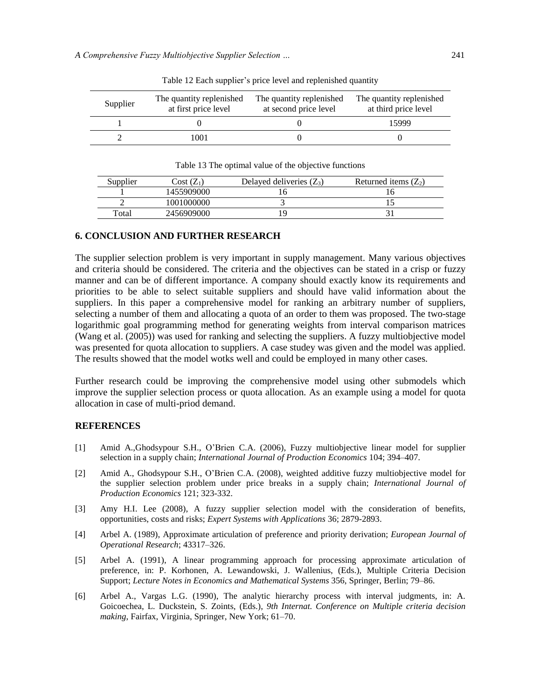| Supplier | The quantity replenished<br>at first price level | The quantity replenished<br>at second price level | The quantity replenished<br>at third price level |
|----------|--------------------------------------------------|---------------------------------------------------|--------------------------------------------------|
|          |                                                  |                                                   | 15999                                            |
|          | 1001                                             |                                                   |                                                  |

Table 12 Each supplier's price level and replenished quantity

Table 13 The optimal value of the objective functions

| Supplier | $Cost(Z_1)$ | Delayed deliveries $(Z_3)$ | Returned items $(Z_2)$ |
|----------|-------------|----------------------------|------------------------|
|          | 1455909000  |                            |                        |
|          | 1001000000  |                            |                        |
| Total    | 2456909000  | ٠ų                         |                        |

### **6. CONCLUSION AND FURTHER RESEARCH**

The supplier selection problem is very important in supply management. Many various objectives and criteria should be considered. The criteria and the objectives can be stated in a crisp or fuzzy manner and can be of different importance. A company should exactly know its requirements and priorities to be able to select suitable suppliers and should have valid information about the suppliers. In this paper a comprehensive model for ranking an arbitrary number of suppliers, selecting a number of them and allocating a quota of an order to them was proposed. The two-stage logarithmic goal programming method for generating weights from interval comparison matrices (Wang et al. (2005)) was used for ranking and selecting the suppliers. A fuzzy multiobjective model was presented for quota allocation to suppliers. A case studey was given and the model was applied. The results showed that the model wotks well and could be employed in many other cases.

Further research could be improving the comprehensive model using other submodels which improve the supplier selection process or quota allocation. As an example using a model for quota allocation in case of multi-priod demand.

### **REFERENCES**

- [1] Amid A.,Ghodsypour S.H., O'Brien C.A. (2006), Fuzzy multiobjective linear model for supplier selection in a supply chain; *International Journal of Production Economics* 104; 394–407.
- [2] Amid A., Ghodsypour S.H., O'Brien C.A. (2008), weighted additive fuzzy multiobjective model for the supplier selection problem under price breaks in a supply chain; *International Journal of Production Economics* 121; 323-332.
- [3] Amy H.I. Lee (2008), A fuzzy supplier selection model with the consideration of benefits, opportunities, costs and risks; *Expert Systems with Applications* 36; 2879-2893.
- [4] Arbel A. (1989), Approximate articulation of preference and priority derivation; *European Journal of Operational Research*; 43317–326.
- [5] Arbel A. (1991), A linear programming approach for processing approximate articulation of preference, in: P. Korhonen, A. Lewandowski, J. Wallenius, (Eds.), Multiple Criteria Decision Support; *Lecture Notes in Economics and Mathematical Systems* 356, Springer, Berlin; 79–86.
- [6] Arbel A., Vargas L.G. (1990), The analytic hierarchy process with interval judgments, in: A. Goicoechea, L. Duckstein, S. Zoints, (Eds.), *9th Internat. Conference on Multiple criteria decision making*, Fairfax, Virginia, Springer, New York; 61–70.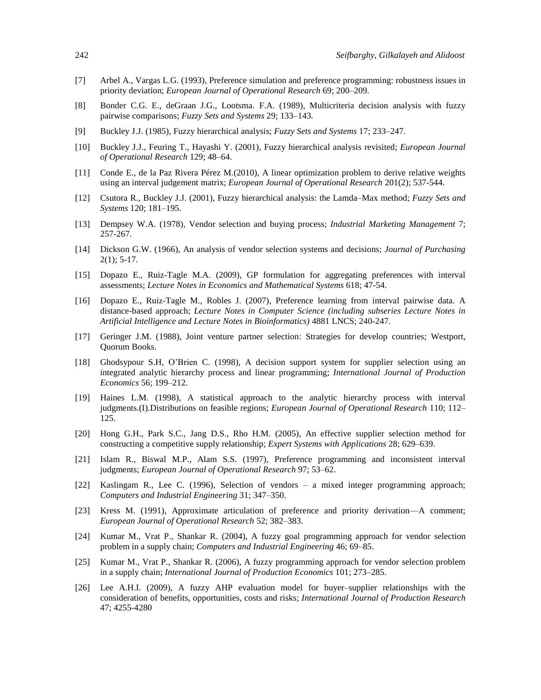- [7] Arbel A., Vargas L.G. (1993), Preference simulation and preference programming: robustness issues in priority deviation; *European Journal of Operational Research* 69; 200–209.
- [8] Bonder C.G. E., deGraan J.G., Lootsma. F.A. (1989), Multicriteria decision analysis with fuzzy pairwise comparisons; *Fuzzy Sets and Systems* 29; 133–143.
- [9] Buckley J.J. (1985), Fuzzy hierarchical analysis; *Fuzzy Sets and Systems* 17; 233–247.
- [10] Buckley J.J., Feuring T., Hayashi Y. (2001), Fuzzy hierarchical analysis revisited; *European Journal of Operational Research* 129; 48–64.
- [11] Conde E., de la Paz Rivera Pérez M.(2010), A linear optimization problem to derive relative weights using an interval judgement matrix; *European Journal of Operational Research* 201(2); 537-544.
- [12] Csutora R., Buckley J.J. (2001), Fuzzy hierarchical analysis: the Lamda–Max method; *Fuzzy Sets and Systems* 120; 181–195.
- [13] Dempsey W.A. (1978), Vendor selection and buying process; *Industrial Marketing Management* 7; 257-267.
- [14] Dickson G.W. (1966), An analysis of vendor selection systems and decisions; *Journal of Purchasing*  $2(1)$ ; 5-17.
- [15] Dopazo E., Ruiz-Tagle M.A. (2009), GP formulation for aggregating preferences with interval assessments; *Lecture Notes in Economics and Mathematical Systems* 618; 47-54.
- [16] Dopazo E., Ruiz-Tagle M., Robles J. (2007), Preference learning from interval pairwise data. A distance-based approach; *Lecture Notes in Computer Science (including subseries Lecture Notes in Artificial Intelligence and Lecture Notes in Bioinformatics)* 4881 LNCS; 240-247.
- [17] Geringer J.M. (1988), Joint venture partner selection: Strategies for develop countries; Westport, Quorum Books.
- [18] Ghodsypour S.H, O'Brien C. (1998), A decision support system for supplier selection using an integrated analytic hierarchy process and linear programming; *International Journal of Production Economics* 56; 199–212.
- [19] Haines L.M. (1998), A statistical approach to the analytic hierarchy process with interval judgments.(I).Distributions on feasible regions; *European Journal of Operational Research* 110; 112– 125.
- [20] Hong G.H., Park S.C., Jang D.S., Rho H.M. (2005), An effective supplier selection method for constructing a competitive supply relationship; *Expert Systems with Applications* 28; 629–639.
- [21] Islam R., Biswal M.P., Alam S.S. (1997), Preference programming and inconsistent interval judgments; *European Journal of Operational Research* 97; 53–62.
- [22] Kaslingam R., Lee C. (1996), Selection of vendors a mixed integer programming approach; *Computers and Industrial Engineering* 31; 347–350.
- [23] Kress M. (1991), Approximate articulation of preference and priority derivation—A comment; *European Journal of Operational Research* 52; 382–383.
- [24] Kumar M., Vrat P., Shankar R. (2004), A fuzzy goal programming approach for vendor selection problem in a supply chain; *Computers and Industrial Engineering* 46; 69–85.
- [25] Kumar M., Vrat P., Shankar R. (2006), A fuzzy programming approach for vendor selection problem in a supply chain; *International Journal of Production Economics* 101; 273–285.
- [26] Lee A.H.I. (2009), A fuzzy AHP evaluation model for buyer–supplier relationships with the consideration of benefits, opportunities, costs and risks; *International Journal of Production Research* 47; 4255-4280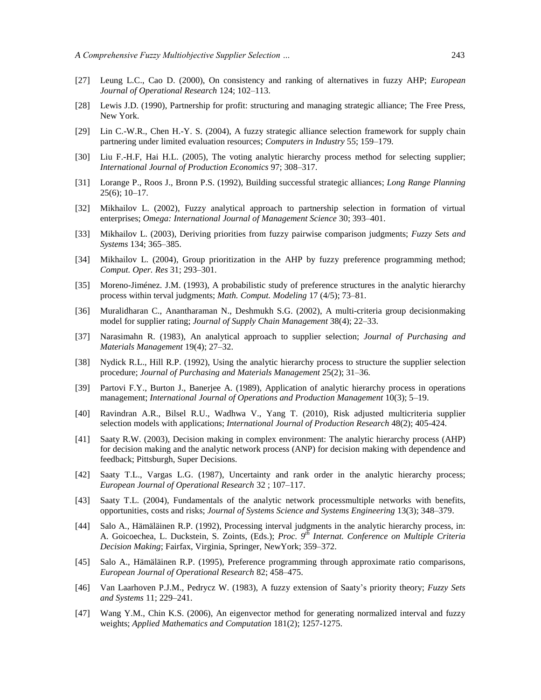- [27] Leung L.C., Cao D. (2000), On consistency and ranking of alternatives in fuzzy AHP; *European Journal of Operational Research* 124; 102–113.
- [28] Lewis J.D. (1990), Partnership for profit: structuring and managing strategic alliance; The Free Press, New York.
- [29] Lin C.-W.R., Chen H.-Y. S. (2004), A fuzzy strategic alliance selection framework for supply chain partnering under limited evaluation resources; *Computers in Industry* 55; 159–179.
- [30] Liu F.-H.F, Hai H.L. (2005), The voting analytic hierarchy process method for selecting supplier; *International Journal of Production Economics* 97; 308–317.
- [31] Lorange P., Roos J., Bronn P.S. (1992), Building successful strategic alliances; *Long Range Planning*  $25(6)$ ; 10–17.
- [32] Mikhailov L. (2002), Fuzzy analytical approach to partnership selection in formation of virtual enterprises; *Omega: International Journal of Management Science* 30; 393–401.
- [33] Mikhailov L. (2003), Deriving priorities from fuzzy pairwise comparison judgments; *Fuzzy Sets and Systems* 134; 365–385.
- [34] Mikhailov L. (2004), Group prioritization in the AHP by fuzzy preference programming method; *Comput. Oper. Res* 31; 293–301.
- [35] Moreno-Jiménez. J.M. (1993), A probabilistic study of preference structures in the analytic hierarchy process within terval judgments; *Math. Comput. Modeling* 17 (4/5); 73–81.
- [36] Muralidharan C., Anantharaman N., Deshmukh S.G. (2002), A multi-criteria group decisionmaking model for supplier rating; *Journal of Supply Chain Management* 38(4); 22–33.
- [37] Narasimahn R. (1983), An analytical approach to supplier selection; *Journal of Purchasing and Materials Management* 19(4); 27–32.
- [38] Nydick R.L., Hill R.P. (1992), Using the analytic hierarchy process to structure the supplier selection procedure; *Journal of Purchasing and Materials Management* 25(2); 31–36.
- [39] Partovi F.Y., Burton J., Banerjee A. (1989), Application of analytic hierarchy process in operations management; *International Journal of Operations and Production Management* 10(3); 5–19.
- [40] Ravindran A.R., Bilsel R.U., Wadhwa V., Yang T. (2010), Risk adjusted multicriteria supplier selection models with applications; *International Journal of Production Research* 48(2); 405-424.
- [41] Saaty R.W. (2003), Decision making in complex environment: The analytic hierarchy process (AHP) for decision making and the analytic network process (ANP) for decision making with dependence and feedback; Pittsburgh, Super Decisions.
- [42] Saaty T.L., Vargas L.G. (1987), Uncertainty and rank order in the analytic hierarchy process; *European Journal of Operational Research* 32 ; 107–117.
- [43] Saaty T.L. (2004), Fundamentals of the analytic network processmultiple networks with benefits, opportunities, costs and risks; *Journal of Systems Science and Systems Engineering* 13(3); 348–379.
- [44] Salo A., Hämäläinen R.P. (1992), Processing interval judgments in the analytic hierarchy process, in: A. Goicoechea, L. Duckstein, S. Zoints, (Eds.); *Proc. 9th Internat. Conference on Multiple Criteria Decision Making*; Fairfax, Virginia, Springer, NewYork; 359–372.
- [45] Salo A., Hämäläinen R.P. (1995), Preference programming through approximate ratio comparisons, *European Journal of Operational Research* 82; 458–475.
- [46] Van Laarhoven P.J.M., Pedrycz W. (1983), A fuzzy extension of Saaty's priority theory; *Fuzzy Sets and Systems* 11; 229–241.
- [47] Wang Y.M., Chin K.S. (2006), An eigenvector method for generating normalized interval and fuzzy weights; *Applied Mathematics and Computation* 181(2); 1257-1275.